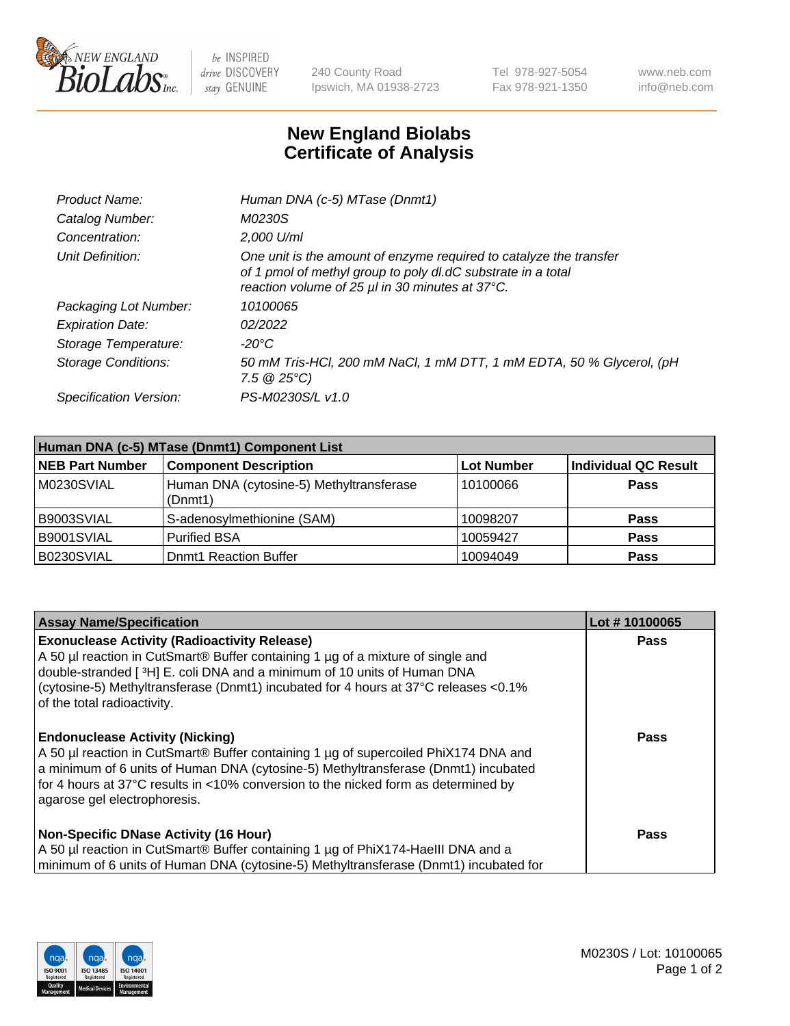

 $be$  INSPIRED drive DISCOVERY stay GENUINE

240 County Road Ipswich, MA 01938-2723 Tel 978-927-5054 Fax 978-921-1350 www.neb.com info@neb.com

## **New England Biolabs Certificate of Analysis**

| Product Name:           | Human DNA (c-5) MTase (Dnmt1)                                                                                                                                                         |
|-------------------------|---------------------------------------------------------------------------------------------------------------------------------------------------------------------------------------|
| Catalog Number:         | M0230S                                                                                                                                                                                |
| Concentration:          | 2,000 U/ml                                                                                                                                                                            |
| Unit Definition:        | One unit is the amount of enzyme required to catalyze the transfer<br>of 1 pmol of methyl group to poly dl.dC substrate in a total<br>reaction volume of 25 µl in 30 minutes at 37°C. |
| Packaging Lot Number:   | 10100065                                                                                                                                                                              |
| <b>Expiration Date:</b> | 02/2022                                                                                                                                                                               |
| Storage Temperature:    | $-20^{\circ}$ C                                                                                                                                                                       |
| Storage Conditions:     | 50 mM Tris-HCl, 200 mM NaCl, 1 mM DTT, 1 mM EDTA, 50 % Glycerol, (pH<br>7.5 $@25°C$ )                                                                                                 |
| Specification Version:  | PS-M0230S/L v1.0                                                                                                                                                                      |

| Human DNA (c-5) MTase (Dnmt1) Component List |                                                     |                   |                      |  |  |
|----------------------------------------------|-----------------------------------------------------|-------------------|----------------------|--|--|
| <b>NEB Part Number</b>                       | <b>Component Description</b>                        | <b>Lot Number</b> | Individual QC Result |  |  |
| M0230SVIAL                                   | Human DNA (cytosine-5) Methyltransferase<br>(Dnmt1) | 10100066          | Pass                 |  |  |
| B9003SVIAL                                   | S-adenosylmethionine (SAM)                          | 10098207          | <b>Pass</b>          |  |  |
| B9001SVIAL                                   | <b>Purified BSA</b>                                 | 10059427          | <b>Pass</b>          |  |  |
| B0230SVIAL                                   | <b>Domt1 Reaction Buffer</b>                        | 10094049          | <b>Pass</b>          |  |  |

| <b>Assay Name/Specification</b>                                                                                                                                                                                                                                                                                                           | Lot #10100065 |
|-------------------------------------------------------------------------------------------------------------------------------------------------------------------------------------------------------------------------------------------------------------------------------------------------------------------------------------------|---------------|
| <b>Exonuclease Activity (Radioactivity Release)</b><br>A 50 µl reaction in CutSmart® Buffer containing 1 µg of a mixture of single and<br>double-stranded [3H] E. coli DNA and a minimum of 10 units of Human DNA<br>(cytosine-5) Methyltransferase (Dnmt1) incubated for 4 hours at 37°C releases <0.1%<br>of the total radioactivity.   | Pass          |
| <b>Endonuclease Activity (Nicking)</b><br>A 50 µl reaction in CutSmart® Buffer containing 1 µg of supercoiled PhiX174 DNA and<br>a minimum of 6 units of Human DNA (cytosine-5) Methyltransferase (Dnmt1) incubated<br>for 4 hours at 37°C results in <10% conversion to the nicked form as determined by<br>agarose gel electrophoresis. | <b>Pass</b>   |
| <b>Non-Specific DNase Activity (16 Hour)</b><br>A 50 µl reaction in CutSmart® Buffer containing 1 µg of PhiX174-HaellI DNA and a<br>minimum of 6 units of Human DNA (cytosine-5) Methyltransferase (Dnmt1) incubated for                                                                                                                  | <b>Pass</b>   |